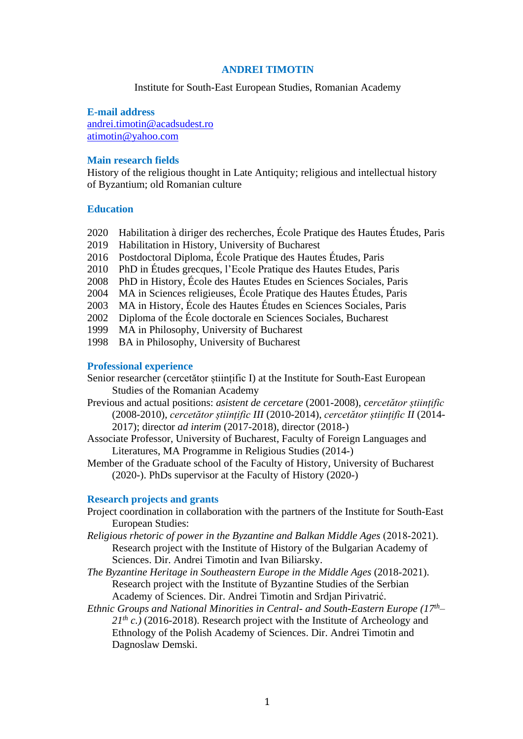## **ANDREI TIMOTIN**

## Institute for South-East European Studies, Romanian Academy

## **E-mail address**

[andrei.timotin@acadsudest.ro](mailto:andrei.timotin@acadsudest.ro) [atimotin@yahoo.com](mailto:atimotin@yahoo.com)

#### **Main research fields**

History of the religious thought in Late Antiquity; religious and intellectual history of Byzantium; old Romanian culture

# **Education**

- 2020 Habilitation à diriger des recherches, École Pratique des Hautes Études, Paris
- 2019 Habilitation in History, University of Bucharest
- 2016 Postdoctoral Diploma, École Pratique des Hautes Études, Paris
- 2010 PhD in Études grecques, l'Ecole Pratique des Hautes Etudes, Paris
- 2008 PhD in History, École des Hautes Etudes en Sciences Sociales, Paris
- 2004 MA in Sciences religieuses, École Pratique des Hautes Études, Paris
- 2003 MA in History, École des Hautes Études en Sciences Sociales, Paris
- 2002 Diploma of the École doctorale en Sciences Sociales, Bucharest
- 1999 MA in Philosophy, University of Bucharest
- 1998 BA in Philosophy, University of Bucharest

## **Professional experience**

- Senior researcher (cercetător științific I) at the Institute for South-East European Studies of the Romanian Academy
- Previous and actual positions: *asistent de cercetare* (2001-2008), *cercetător științific* (2008-2010), *cercetător științific III* (2010-2014), *cercetător științific II* (2014- 2017); director *ad interim* (2017-2018), director (2018-)
- Associate Professor, University of Bucharest, Faculty of Foreign Languages and Literatures, MA Programme in Religious Studies (2014-)
- Member of the Graduate school of the Faculty of History, University of Bucharest (2020-). PhDs supervisor at the Faculty of History (2020-)

# **Research projects and grants**

- Project coordination in collaboration with the partners of the Institute for South-East European Studies:
- *Religious rhetoric of power in the Byzantine and Balkan Middle Ages* (2018‐2021). Research project with the Institute of History of the Bulgarian Academy of Sciences. Dir. Andrei Timotin and Ivan Biliarsky.
- *The Byzantine Heritage in Southeastern Europe in the Middle Ages* (2018‐2021). Research project with the Institute of Byzantine Studies of the Serbian Academy of Sciences. Dir. Andrei Timotin and Srdjan Pirivatrić.
- *Ethnic Groups and National Minorities in Central- and South-Eastern Europe (17th– 21th c.)* (2016-2018). Research project with the Institute of Archeology and Ethnology of the Polish Academy of Sciences. Dir. Andrei Timotin and Dagnoslaw Demski.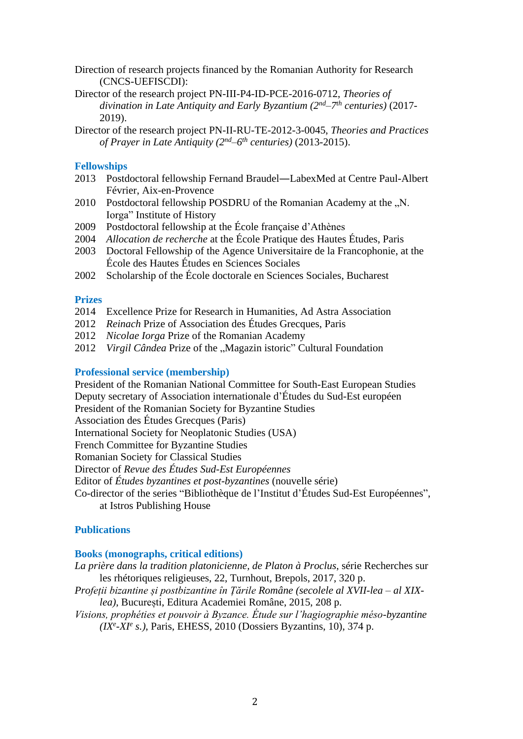- Direction of research projects financed by the Romanian Authority for Research (CNCS-UEFISCDI):
- Director of the research project PN-III-P4-ID-PCE-2016-0712, *Theories of divination in Late Antiquity and Early Byzantium (2nd–7 th centuries)* (2017- 2019).
- Director of the research project PN-II-RU-TE-2012-3-0045, *Theories and Practices of Prayer in Late Antiquity (2nd–6 th centuries)* (2013-2015).

# **Fellowships**

- 2013 Postdoctoral fellowship Fernand Braudel―LabexMed at Centre Paul-Albert Février, Aix-en-Provence
- 2010 Postdoctoral fellowship POSDRU of the Romanian Academy at the "N. Iorga" Institute of History
- 2009 Postdoctoral fellowship at the École française d'Athènes
- 2004 *Allocation de recherche* at the École Pratique des Hautes Études, Paris
- 2003 Doctoral Fellowship of the Agence Universitaire de la Francophonie, at the École des Hautes Études en Sciences Sociales
- 2002 Scholarship of the École doctorale en Sciences Sociales, Bucharest

#### **Prizes**

- 2014 Excellence Prize for Research in Humanities, Ad Astra Association
- 2012 *Reinach* Prize of Association des Études Grecques, Paris
- 2012 *Nicolae Iorga* Prize of the Romanian Academy
- 2012 *Virgil Cândea* Prize of the "Magazin istoric" Cultural Foundation

#### **Professional service (membership)**

President of the Romanian National Committee for South-East European Studies Deputy secretary of Association internationale d'Études du Sud-Est européen President of the Romanian Society for Byzantine Studies

Association des Études Grecques (Paris)

International Society for Neoplatonic Studies (USA)

French Committee for Byzantine Studies

Romanian Society for Classical Studies

Director of *Revue des Études Sud-Est Européennes*

Editor of *Études byzantines et post-byzantines* (nouvelle série)

Co-director of the series "Bibliothèque de l'Institut d'Études Sud-Est Européennes", at Istros Publishing House

#### **Publications**

#### **Books (monographs, critical editions)**

*La prière dans la tradition platonicienne, de Platon à Proclus*, série Recherches sur les rhétoriques religieuses, 22, Turnhout, Brepols, 2017, 320 p.

*Profeții bizantine și postbizantine în Țările Române (secolele al XVII-lea – al XIXlea)*, București, Editura Academiei Române, 2015, 208 p.

*Visions, prophéties et pouvoir à Byzance. Étude sur l'hagiographie méso-byzantine (IX<sup>e</sup> -XI<sup>e</sup> s.)*, Paris, EHESS, 2010 (Dossiers Byzantins, 10), 374 p.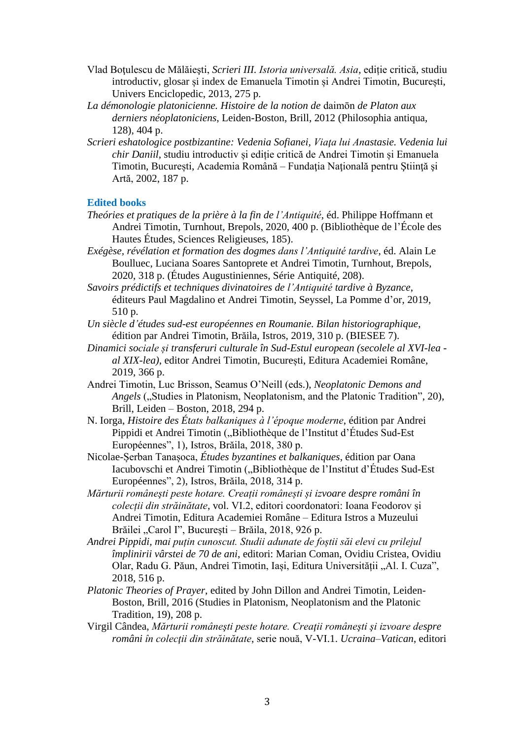- Vlad Boţulescu de Mălăieşti, *Scrieri III. Istoria universală. Asia*, ediție critică, studiu introductiv, glosar și index de Emanuela Timotin și Andrei Timotin, București, Univers Enciclopedic, 2013, 275 p.
- *La démonologie platonicienne. Histoire de la notion de* daimōn *de Platon aux derniers néoplatoniciens*, Leiden-Boston, Brill, 2012 (Philosophia antiqua, 128), 404 p.
- *Scrieri eshatologice postbizantine: Vedenia Sofianei, Viaţa lui Anastasie. Vedenia lui chir Daniil*, studiu introductiv și ediție critică de Andrei Timotin și Emanuela Timotin, București, Academia Română – Fundaţia Naţională pentru Ştiinţă şi Artă, 2002, 187 p.

## **Edited books**

- *Theóries et pratiques de la prière à la fin de l'Antiquité*, éd. Philippe Hoffmann et Andrei Timotin, Turnhout, Brepols, 2020, 400 p. (Bibliothèque de l'École des Hautes Études, Sciences Religieuses, 185).
- *Exégèse, révélation et formation des dogmes dans l'Antiquité tardive*, éd. Alain Le Boulluec, Luciana Soares Santoprete et Andrei Timotin, Turnhout, Brepols, 2020, 318 p. (Études Augustiniennes, Série Antiquité, 208).
- *Savoirs prédictifs et techniques divinatoires de l'Antiquité tardive à Byzance*, éditeurs Paul Magdalino et Andrei Timotin, Seyssel, La Pomme d'or, 2019, 510 p.
- *Un siècle d'études sud-est européennes en Roumanie. Bilan historiographique*, édition par Andrei Timotin, Brăila, Istros, 2019, 310 p. (BIESEE 7).
- *Dinamici sociale și transferuri culturale în Sud-Estul european (secolele al XVI-lea al XIX-lea)*, editor Andrei Timotin, București, Editura Academiei Române, 2019, 366 p.
- Andrei Timotin, Luc Brisson, Seamus O'Neill (eds.), *Neoplatonic Demons and Angels* ("Studies in Platonism, Neoplatonism, and the Platonic Tradition", 20), Brill, Leiden – Boston, 2018, 294 p.
- N. Iorga, *Histoire des États balkaniques à l'époque moderne*, édition par Andrei Pippidi et Andrei Timotin ("Bibliothèque de l'Institut d'Études Sud-Est Européennes", 1), Istros, Brăila, 2018, 380 p.
- Nicolae-Șerban Tanașoca, *Études byzantines et balkaniques*, édition par Oana Iacubovschi et Andrei Timotin ("Bibliothèque de l'Institut d'Études Sud-Est Européennes", 2), Istros, Brăila, 2018, 314 p.
- *Mărturii româneşti peste hotare. Creații românești și izvoare despre români în colecții din străinătate*, vol. VI.2, editori coordonatori: Ioana Feodorov și Andrei Timotin, Editura Academiei Române – Editura Istros a Muzeului Brăilei "Carol I", București – Brăila, 2018, 926 p.
- *Andrei Pippidi, mai puțin cunoscut. Studii adunate de foștii săi elevi cu prilejul împlinirii vârstei de 70 de ani*, editori: Marian Coman, Ovidiu Cristea, Ovidiu Olar, Radu G. Păun, Andrei Timotin, Iași, Editura Universității "Al. I. Cuza", 2018, 516 p.
- *Platonic Theories of Prayer*, edited by John Dillon and Andrei Timotin, Leiden-Boston, Brill, 2016 (Studies in Platonism, Neoplatonism and the Platonic Tradition, 19), 208 p.
- Virgil Cândea, *Mărturii româneşti peste hotare. Creaţii româneşti şi izvoare despre români în colecţii din străinătate*, serie nouă, V-VI.1. *Ucraina*–*Vatican*, editori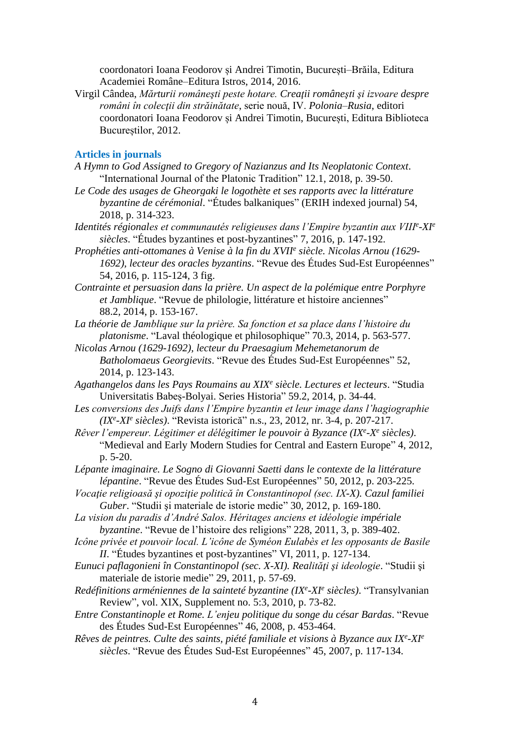coordonatori Ioana Feodorov și Andrei Timotin, București–Brăila, Editura Academiei Române–Editura Istros, 2014, 2016.

Virgil Cândea, *Mărturii româneşti peste hotare. Creaţii româneşti şi izvoare despre români în colecţii din străinătate*, serie nouă, IV. *Polonia*–*Rusia*, editori coordonatori Ioana Feodorov și Andrei Timotin, București, Editura Biblioteca Bucureștilor, 2012.

#### **Articles in journals**

- *A Hymn to God Assigned to Gregory of Nazianzus and Its Neoplatonic Context*. "International Journal of the Platonic Tradition" 12.1, 2018, p. 39-50.
- *Le Code des usages de Gheorgaki le logothète et ses rapports avec la littérature byzantine de cérémonial*. "Études balkaniques" (ERIH indexed journal) 54, 2018, p. 314-323.
- *Identités régionales et communautés religieuses dans l'Empire byzantin aux VIII<sup>e</sup> -XI<sup>e</sup> siècles*. "Études byzantines et post-byzantines" 7, 2016, p. 147-192.
- *Prophéties anti-ottomanes à Venise à la fin du XVII<sup>e</sup> siècle. Nicolas Arnou (1629- 1692), lecteur des oracles byzantins*. "Revue des Études Sud-Est Européennes" 54, 2016, p. 115-124, 3 fig.
- *Contrainte et persuasion dans la prière. Un aspect de la polémique entre Porphyre et Jamblique*. "Revue de philologie, littérature et histoire anciennes" 88.2, 2014, p. 153-167.
- *La théorie de Jamblique sur la prière. Sa fonction et sa place dans l'histoire du platonisme*. "Laval théologique et philosophique" 70.3, 2014, p. 563-577.
- *Nicolas Arnou (1629-1692), lecteur du Praesagium Mehemetanorum de Batholomaeus Georgievits*. "Revue des Études Sud-Est Européennes" 52, 2014, p. 123-143.
- *Agathangelos dans les Pays Roumains au XIX<sup>e</sup> siècle. Lectures et lecteurs*. "Studia Universitatis Babeș-Bolyai. Series Historia" 59.2, 2014, p. 34-44.
- *Les conversions des Juifs dans l'Empire byzantin et leur image dans l'hagiographie (IX<sup>e</sup> -XI<sup>e</sup> siècles)*. "Revista istorică" n.s., 23, 2012, nr. 3-4, p. 207-217.
- *Rêver l'empereur. Légitimer et délégitimer le pouvoir à Byzance (IX<sup>e</sup> -X e siècles)*. "Medieval and Early Modern Studies for Central and Eastern Europe" 4, 2012, p. 5-20.
- *Lépante imaginaire. Le Sogno di Giovanni Saetti dans le contexte de la littérature lépantine*. "Revue des Études Sud-Est Européennes" 50, 2012, p. 203-225.
- *Vocaţie religioasă şi opoziţie politică în Constantinopol (sec. IX-X). Cazul familiei Guber*. "Studii şi materiale de istorie medie" 30, 2012, p. 169-180.
- *La vision du paradis d'André Salos. Héritages anciens et idéologie impériale byzantine*. "Revue de l'histoire des religions" 228, 2011, 3, p. 389-402.
- *Icône privée et pouvoir local. L'icône de Syméon Eulabès et les opposants de Basile II*. "Études byzantines et post-byzantines" VI, 2011, p. 127-134.
- *Eunuci paflagonieni în Constantinopol (sec. X-XI). Realităţi şi ideologie*. "Studii şi materiale de istorie medie" 29, 2011, p. 57-69.
- *Redéfinitions arméniennes de la sainteté byzantine (IX<sup>e</sup> -XI<sup>e</sup> siècles)*. "Transylvanian Review", vol. XIX, Supplement no. 5:3, 2010, p. 73-82.
- *Entre Constantinople et Rome. L'enjeu politique du songe du césar Bardas*. "Revue des Études Sud-Est Européennes" 46, 2008, p. 453-464.
- *Rêves de peintres. Culte des saints, piété familiale et visions à Byzance aux IX<sup>e</sup> -XI<sup>e</sup> siècles*. "Revue des Études Sud-Est Européennes" 45, 2007, p. 117-134.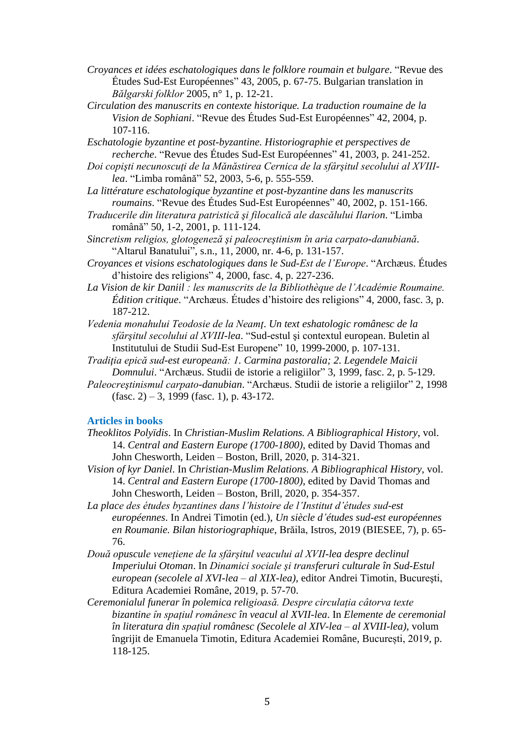- *Croyances et idées eschatologiques dans le folklore roumain et bulgare*. "Revue des Études Sud-Est Européennes" 43, 2005, p. 67-75. Bulgarian translation in *Bălgarski folklor* 2005, n° 1, p. 12-21.
- *Circulation des manuscrits en contexte historique. La traduction roumaine de la Vision de Sophiani*. "Revue des Études Sud-Est Européennes" 42, 2004, p. 107-116.

*Eschatologie byzantine et post-byzantine. Historiographie et perspectives de recherche*. "Revue des Études Sud-Est Européennes" 41, 2003, p. 241-252.

- *Doi copişti necunoscuţi de la Mănăstirea Cernica de la sfârşitul secolului al XVIIIlea*. "Limba română" 52, 2003, 5-6, p. 555-559.
- *La littérature eschatologique byzantine et post-byzantine dans les manuscrits roumains*. "Revue des Études Sud-Est Européennes" 40, 2002, p. 151-166.
- *Traducerile din literatura patristică şi filocalică ale dascălului Ilarion*. "Limba română" 50, 1-2, 2001, p. 111-124.
- *Sincretism religios, glotogeneză şi paleocreştinism în aria carpato-danubiană*. "Altarul Banatului", s.n., 11, 2000, nr. 4-6, p. 131-157.
- *Croyances et visions eschatologiques dans le Sud-Est de l'Europe*. "Archæus. Études d'histoire des religions" 4, 2000, fasc. 4, p. 227-236.
- *La Vision de kir Daniil : les manuscrits de la Bibliothèque de l'Académie Roumaine. Édition critique*. "Archæus. Études d'histoire des religions" 4, 2000, fasc. 3, p. 187-212.
- *Vedenia monahului Teodosie de la Neamţ*. *Un text eshatologic românesc de la sfârşitul secolului al XVIII-lea*. "Sud-estul şi contextul european. Buletin al Institutului de Studii Sud-Est Europene" 10, 1999-2000, p. 107-131.
- *Tradiţia epică sud-est europeană: 1. Carmina pastoralia; 2. Legendele Maicii Domnului*. "Archæus. Studii de istorie a religiilor" 3, 1999, fasc. 2, p. 5-129.
- *Paleocreştinismul carpato-danubian*. "Archæus. Studii de istorie a religiilor" 2, 1998  $(fasc. 2) - 3$ , 1999 (fasc. 1), p. 43-172.

#### **Articles in books**

- *Theoklitos Polyïdis*. In *Christian-Muslim Relations. A Bibliographical History*, vol. 14. *Central and Eastern Europe (1700-1800)*, edited by David Thomas and John Chesworth, Leiden – Boston, Brill, 2020, p. 314-321.
- *Vision of kyr Daniel*. In *Christian-Muslim Relations. A Bibliographical History*, vol. 14. *Central and Eastern Europe (1700-1800)*, edited by David Thomas and John Chesworth, Leiden – Boston, Brill, 2020, p. 354-357.
- *La place des études byzantines dans l'histoire de l'Institut d'études sud-est européennes*. In Andrei Timotin (ed.), *Un siècle d'études sud-est européennes en Roumanie. Bilan historiographique*, Brăila, Istros, 2019 (BIESEE, 7), p. 65- 76.
- *Două opuscule venețiene de la sfârșitul veacului al XVII-lea despre declinul Imperiului Otoman*. In *Dinamici sociale şi transferuri culturale în Sud-Estul european (secolele al XVI-lea – al XIX-lea)*, editor Andrei Timotin, Bucureşti, Editura Academiei Române, 2019, p. 57-70.
- *Ceremonialul funerar în polemica religioasă. Despre circulația câtorva texte bizantine în spațiul românesc în veacul al XVII-lea*. In *Elemente de ceremonial în literatura din spațiul românesc (Secolele al XIV-lea – al XVIII-lea)*, volum îngrijit de Emanuela Timotin, Editura Academiei Române, București, 2019, p. 118-125.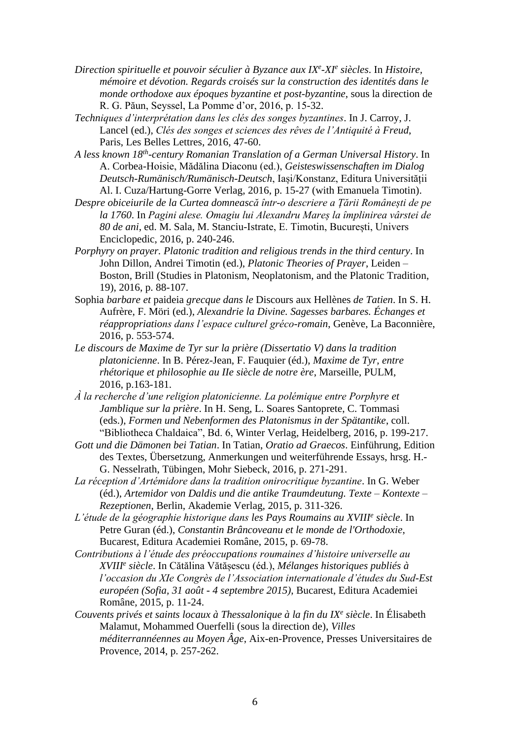- *Direction spirituelle et pouvoir séculier à Byzance aux IX<sup>e</sup> -XI<sup>e</sup> siècles*. In *Histoire, mémoire et dévotion. Regards croisés sur la construction des identités dans le monde orthodoxe aux époques byzantine et post-byzantine*, sous la direction de R. G. Păun, Seyssel, La Pomme d'or, 2016, p. 15-32.
- *Techniques d'interprétation dans les clés des songes byzantines*. In J. Carroy, J. Lancel (ed.), *Clés des songes et sciences des rêves de l'Antiquité à Freud*, Paris, Les Belles Lettres, 2016, 47-60.
- *A less known 18th -century Romanian Translation of a German Universal History*. In A. Corbea-Hoisie, Mădălina Diaconu (ed.), *Geisteswissenschaften im Dialog Deutsch-Rumänisch/Rumänisch-Deutsch*, Iași/Konstanz, Editura Universității Al. I. Cuza/Hartung-Gorre Verlag, 2016, p. 15-27 (with Emanuela Timotin).
- *Despre obiceiurile de la Curtea domnească într-o descriere a Țării Românești de pe la 1760*. In *Pagini alese. Omagiu lui Alexandru Mareș la împlinirea vârstei de 80 de ani*, ed. M. Sala, M. Stanciu-Istrate, E. Timotin, București, Univers Enciclopedic, 2016, p. 240-246.
- *Porphyry on prayer. Platonic tradition and religious trends in the third century*. In John Dillon, Andrei Timotin (ed.), *[Platonic Theories of Prayer](http://www.brill.com/products/book/platonic-theories-prayer)*, Leiden – Boston, Brill (Studies in Platonism, Neoplatonism, and the Platonic Tradition, 19), 2016, p. 88-107.
- Sophia *barbare et* paideia *grecque dans le* Discours aux Hellènes *de Tatien*. In S. H. Aufrère, F. Möri (ed.), *Alexandrie la Divine. Sagesses barbares. Échanges et réappropriations dans l'espace culturel gréco-romain*, Genève, La Baconnière, 2016, p. 553-574.
- *Le discours de Maxime de Tyr sur la prière (Dissertatio V) dans la tradition platonicienne*. In B. Pérez-Jean, F. Fauquier (éd.), *Maxime de Tyr, entre rhétorique et philosophie au IIe siècle de notre ère*, Marseille, PULM, 2016, p.163-181.
- *À la recherche d'une religion platonicienne. La polémique entre Porphyre et Jamblique sur la prière*. In H. Seng, L. Soares Santoprete, C. Tommasi (eds.), *Formen und Nebenformen des Platonismus in der Spätantike*, coll. "Bibliotheca Chaldaica", Bd. 6, Winter Verlag, Heidelberg, 2016, p. 199-217.
- *Gott und die Dämonen bei Tatian*. In Tatian, *Oratio ad Graecos*. Einführung, Edition des Textes, Übersetzung, Anmerkungen und weiterführende Essays, hrsg. H.- G. Nesselrath, Tübingen, Mohr Siebeck, 2016, p. 271-291.
- *La réception d'Artémidore dans la tradition onirocritique byzantine*. In G. Weber (éd.), *Artemidor von Daldis und die antike Traumdeutung. Texte – Kontexte – Rezeptionen*, Berlin, Akademie Verlag, 2015, p. 311-326.
- *L'étude de la géographie historique dans les Pays Roumains au XVIII<sup>e</sup> siècle*. In Petre Guran (éd.), *Constantin Brâncoveanu et le monde de l'Orthodoxie*, Bucarest, Editura Academiei Române, 2015, p. 69-78.
- *Contributions à l'étude des préoccupations roumaines d'histoire universelle au XVIII<sup>e</sup> siècle*. In Cătălina Vătășescu (éd.), *Mélanges historiques publiés à l'occasion du XIe Congrès de l'Association internationale d'études du Sud-Est européen (Sofia, 31 août - 4 septembre 2015)*, Bucarest, Editura Academiei Române, 2015, p. 11-24.
- *Couvents privés et saints locaux à Thessalonique à la fin du IX<sup>e</sup> siècle*. In Élisabeth Malamut, Mohammed Ouerfelli (sous la direction de), *Villes méditerrannéennes au Moyen Âge*, Aix-en-Provence, Presses Universitaires de Provence, 2014, p. 257-262.